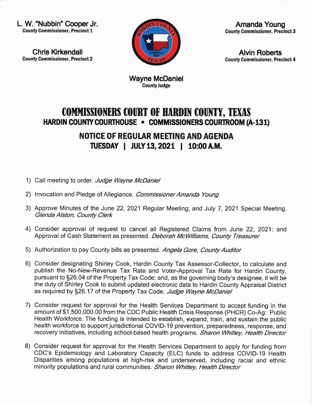L. W. "Nubbin" Cooper Jr. County Commissioner, Precinct 1

Chris Kirkendall County Commissloner, Precinct 2



Amanda Young County Commissioner, Preclnct 3

Alvin Roberts County Commlssioner, Precinct 4

Wayne McDaniel CountyJudge

## COMMISSIONERS COURT OF HARDIN COUNTY, TEXAS HARDIN COUNTY COURTHOUSE - COMMISSIONERS COURTROOM (A-131)

NOTICE OF REGULAR MEETING AND AGENDA ruESDAY I JULYl3, 2O2l | 10:00AM.

- 1) Call meeting to order. Judge Wayne McDaniel
- 2) Invocation and Pledge of Allegiance. Commissioner Amanda Young
- 3) Approve Minutes of the June 22, 2021 Regular Meeting; and July 7, 2021 Special Meeting. Glenda Alston, County Clerk
- 4) Consider approval of request to cancel all Registered Claims from June 22, 2021; and Approval of Cash Statement as presented. Deborah McWilliams, County Treasurer
- 5) Authorization to pay County bills as presented. Angela Gore, County Auditor
- 6) Consider designating Shirley Cook, Hardin County Tax Assessor-Collector, to calculate and publish the No-New-Revenue Tax Rate and Voter-Approval Tax Rate for Hardin County, pursuant to §26.04 of the Property Tax Code; and, as the governing body's designee, it will be the duty of Shirley Cook to submit updated electronic data to Hardin County Appraisal District as required by §26.17 of the Property Tax Code. Judge Wayne McDaniel
- 7) Consider request for approval for the Health Services Department to accept funding in the amount of \$1,500,000.00 from the CDC Public Health Crisis Response (PHCR) Co-Ag: Public Health Workforce. The funding is intended to establish, expand, train, and sustain the public health workforce to support jurisdictional COVID-19 prevention, preparedness, response, and recovery initiatives, including school-based health programs. Sharon Whitley, Health Director
- 8) Consider request for approval for the Health Services Department to apply for funding from CDC's Epidemiology and Laboratory Capacity (ELC) funds to address COVID-19 Health Disparities among populations at high-risk and underserved, including racial and ethnic minority populations and rural communities. Sharon Whitley, Health Director